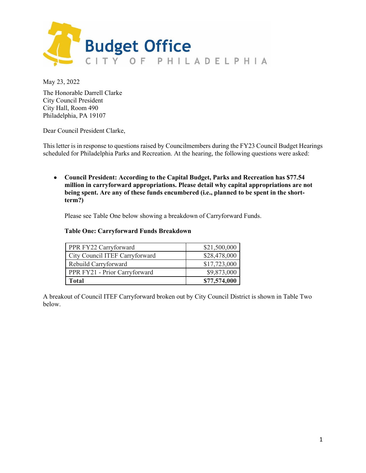

May 23, 2022

The Honorable Darrell Clarke City Council President City Hall, Room 490 Philadelphia, PA 19107

Dear Council President Clarke,

This letter is in response to questions raised by Councilmembers during the FY23 Council Budget Hearings scheduled for Philadelphia Parks and Recreation. At the hearing, the following questions were asked:

• **Council President: According to the Capital Budget, Parks and Recreation has \$77.54 million in carryforward appropriations. Please detail why capital appropriations are not being spent. Are any of these funds encumbered (i.e., planned to be spent in the shortterm?)**

Please see Table One below showing a breakdown of Carryforward Funds.

#### **Table One: Carryforward Funds Breakdown**

| PPR FY22 Carryforward          | \$21,500,000 |
|--------------------------------|--------------|
| City Council ITEF Carryforward | \$28,478,000 |
| Rebuild Carryforward           | \$17,723,000 |
| PPR FY21 - Prior Carryforward  | \$9,873,000  |
| Total                          | \$77,574,000 |

A breakout of Council ITEF Carryforward broken out by City Council District is shown in Table Two below.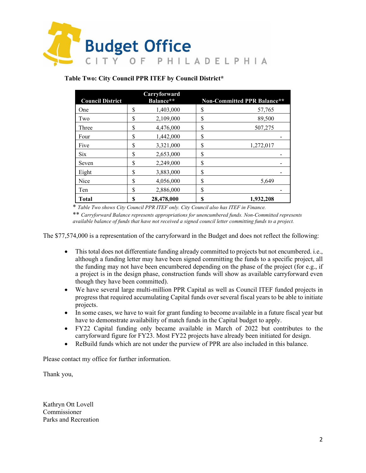

| <b>Council District</b> | Carryforward<br>Balance** | <b>Non-Committed PPR Balance**</b> |
|-------------------------|---------------------------|------------------------------------|
| One                     | \$<br>1,403,000           | \$<br>57,765                       |
| Two                     | \$<br>2,109,000           | \$<br>89,500                       |
| Three                   | \$<br>4,476,000           | \$<br>507,275                      |
| Four                    | \$<br>1,442,000           | \$                                 |
| Five                    | \$<br>3,321,000           | \$<br>1,272,017                    |
| <b>Six</b>              | \$<br>2,653,000           | \$                                 |
| Seven                   | \$<br>2,249,000           | \$                                 |
| Eight                   | \$<br>3,883,000           | \$                                 |
| Nice                    | \$<br>4,056,000           | \$<br>5,649                        |
| Ten                     | \$<br>2,886,000           | \$                                 |
| <b>Total</b>            | \$<br>28,478,000          | \$<br>1,932,208                    |

### **Table Two: City Council PPR ITEF by Council District\***

\* *Table Two shows City Council PPR ITEF only. City Council also has ITEF in Finance.* 

\*\* *Carryforward Balance represents appropriations for unencumbered funds. Non-Committed represents available balance of funds that have not received a signed council letter committing funds to a project.*

The \$77,574,000 is a representation of the carryforward in the Budget and does not reflect the following:

- This total does not differentiate funding already committed to projects but not encumbered. i.e., although a funding letter may have been signed committing the funds to a specific project, all the funding may not have been encumbered depending on the phase of the project (for e.g., if a project is in the design phase, construction funds will show as available carryforward even though they have been committed).
- We have several large multi-million PPR Capital as well as Council ITEF funded projects in progress that required accumulating Capital funds over several fiscal years to be able to initiate projects.
- In some cases, we have to wait for grant funding to become available in a future fiscal year but have to demonstrate availability of match funds in the Capital budget to apply.
- FY22 Capital funding only became available in March of 2022 but contributes to the carryforward figure for FY23. Most FY22 projects have already been initiated for design.
- ReBuild funds which are not under the purview of PPR are also included in this balance.

Please contact my office for further information.

Thank you,

Kathryn Ott Lovell Commissioner Parks and Recreation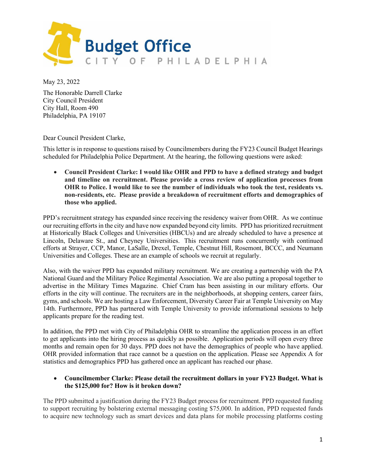

May 23, 2022

The Honorable Darrell Clarke City Council President City Hall, Room 490 Philadelphia, PA 19107

Dear Council President Clarke,

This letter is in response to questions raised by Councilmembers during the FY23 Council Budget Hearings scheduled for Philadelphia Police Department. At the hearing, the following questions were asked:

• **Council President Clarke: I would like OHR and PPD to have a defined strategy and budget and timeline on recruitment. Please provide a cross review of application processes from OHR to Police. I would like to see the number of individuals who took the test, residents vs. non-residents, etc. Please provide a breakdown of recruitment efforts and demographics of those who applied.**

PPD's recruitment strategy has expanded since receiving the residency waiver from OHR. As we continue our recruiting efforts in the city and have now expanded beyond city limits. PPD has prioritized recruitment at Historically Black Colleges and Universities (HBCUs) and are already scheduled to have a presence at Lincoln, Delaware St., and Cheyney Universities. This recruitment runs concurrently with continued efforts at Strayer, CCP, Manor, LaSalle, Drexel, Temple, Chestnut Hill, Rosemont, BCCC, and Neumann Universities and Colleges. These are an example of schools we recruit at regularly.

Also, with the waiver PPD has expanded military recruitment. We are creating a partnership with the PA National Guard and the Military Police Regimental Association. We are also putting a proposal together to advertise in the Military Times Magazine. Chief Cram has been assisting in our military efforts. Our efforts in the city will continue. The recruiters are in the neighborhoods, at shopping centers, career fairs, gyms, and schools. We are hosting a Law Enforcement, Diversity Career Fair at Temple University on May 14th. Furthermore, PPD has partnered with Temple University to provide informational sessions to help applicants prepare for the reading test.

In addition, the PPD met with City of Philadelphia OHR to streamline the application process in an effort to get applicants into the hiring process as quickly as possible. Application periods will open every three months and remain open for 30 days. PPD does not have the demographics of people who have applied. OHR provided information that race cannot be a question on the application. Please see Appendix A for statistics and demographics PPD has gathered once an applicant has reached our phase.

#### • **Councilmember Clarke: Please detail the recruitment dollars in your FY23 Budget. What is the \$125,000 for? How is it broken down?**

The PPD submitted a justification during the FY23 Budget process for recruitment. PPD requested funding to support recruiting by bolstering external messaging costing \$75,000. In addition, PPD requested funds to acquire new technology such as smart devices and data plans for mobile processing platforms costing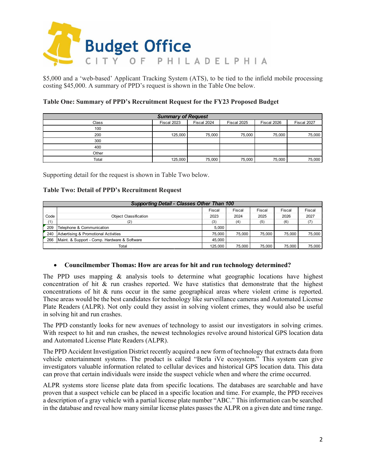

\$5,000 and a 'web-based' Applicant Tracking System (ATS), to be tied to the infield mobile processing costing \$45,000. A summary of PPD's request is shown in the Table One below.

#### **Table One: Summary of PPD's Recruitment Request for the FY23 Proposed Budget**

| <b>Summary of Request</b> |             |             |             |             |             |  |  |  |  |  |
|---------------------------|-------------|-------------|-------------|-------------|-------------|--|--|--|--|--|
| Class                     | Fiscal 2023 | Fiscal 2024 | Fiscal 2025 | Fiscal 2026 | Fiscal 2027 |  |  |  |  |  |
| 100                       |             |             |             |             |             |  |  |  |  |  |
| 200                       | 125,000     | 75,000      | 75,000      | 75,000      | 75,000      |  |  |  |  |  |
| 300                       |             |             |             |             |             |  |  |  |  |  |
| 400                       |             |             |             |             |             |  |  |  |  |  |
| Other                     |             |             |             |             |             |  |  |  |  |  |
| Total                     | 125,000     | 75,000      | 75,000      | 75,000      | 75,000      |  |  |  |  |  |

Supporting detail for the request is shown in Table Two below.

#### **Table Two: Detail of PPD's Recruitment Request**

| <b>Supporting Detail - Classes Other Than 100</b> |                                              |         |        |        |        |        |  |  |  |
|---------------------------------------------------|----------------------------------------------|---------|--------|--------|--------|--------|--|--|--|
|                                                   |                                              | Fiscal  | Fiscal | Fiscal | Fiscal | Fiscal |  |  |  |
| Code                                              | <b>Object Classification</b>                 | 2023    | 2024   | 2025   | 2026   | 2027   |  |  |  |
| (1)                                               | (2)                                          | (3)     | (4)    | (5)    | (6)    | (7)    |  |  |  |
| 209                                               | Telephone & Communication                    | 5.000   |        |        |        |        |  |  |  |
| 240<br>Advertising & Promotional Activities       |                                              |         | 75.000 | 75.000 | 75.000 | 75.000 |  |  |  |
| 266                                               | Maint. & Support - Comp. Hardware & Software | 45.000  |        |        |        |        |  |  |  |
|                                                   | Total                                        | 125.000 | 75.000 | 75.000 | 75.000 | 75,000 |  |  |  |

#### • **Councilmember Thomas: How are areas for hit and run technology determined?**

The PPD uses mapping  $\&$  analysis tools to determine what geographic locations have highest concentration of hit  $\&$  run crashes reported. We have statistics that demonstrate that the highest concentrations of hit & runs occur in the same geographical areas where violent crime is reported. These areas would be the best candidates for technology like surveillance cameras and Automated License Plate Readers (ALPR). Not only could they assist in solving violent crimes, they would also be useful in solving hit and run crashes.

The PPD constantly looks for new avenues of technology to assist our investigators in solving crimes. With respect to hit and run crashes, the newest technologies revolve around historical GPS location data and Automated License Plate Readers (ALPR).

The PPD Accident Investigation District recently acquired a new form of technology that extracts data from vehicle entertainment systems. The product is called "Berla iVe ecosystem." This system can give investigators valuable information related to cellular devices and historical GPS location data. This data can prove that certain individuals were inside the suspect vehicle when and where the crime occurred.

ALPR systems store license plate data from specific locations. The databases are searchable and have proven that a suspect vehicle can be placed in a specific location and time. For example, the PPD receives a description of a gray vehicle with a partial license plate number "ABC." This information can be searched in the database and reveal how many similar license plates passes the ALPR on a given date and time range.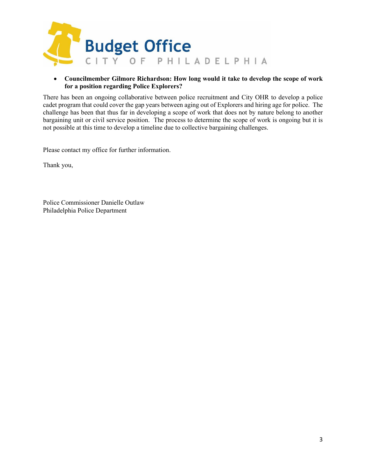

#### • **Councilmember Gilmore Richardson: How long would it take to develop the scope of work for a position regarding Police Explorers?**

There has been an ongoing collaborative between police recruitment and City OHR to develop a police cadet program that could cover the gap years between aging out of Explorers and hiring age for police. The challenge has been that thus far in developing a scope of work that does not by nature belong to another bargaining unit or civil service position. The process to determine the scope of work is ongoing but it is not possible at this time to develop a timeline due to collective bargaining challenges.

Please contact my office for further information.

Thank you,

Police Commissioner Danielle Outlaw Philadelphia Police Department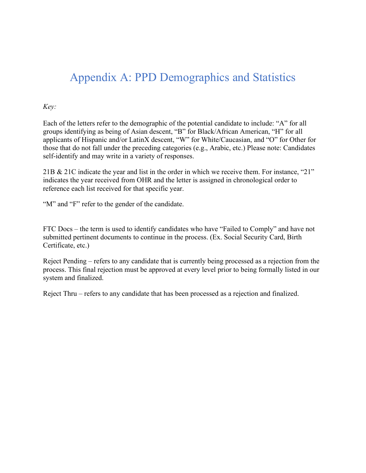# Appendix A: PPD Demographics and Statistics

*Key:*

Each of the letters refer to the demographic of the potential candidate to include: "A" for all groups identifying as being of Asian descent, "B" for Black/African American, "H" for all applicants of Hispanic and/or LatinX descent, "W" for White/Caucasian, and "O" for Other for those that do not fall under the preceding categories (e.g., Arabic, etc.) Please note: Candidates self-identify and may write in a variety of responses.

21B & 21C indicate the year and list in the order in which we receive them. For instance, "21" indicates the year received from OHR and the letter is assigned in chronological order to reference each list received for that specific year.

"M" and "F" refer to the gender of the candidate.

FTC Docs – the term is used to identify candidates who have "Failed to Comply" and have not submitted pertinent documents to continue in the process. (Ex. Social Security Card, Birth Certificate, etc.)

Reject Pending – refers to any candidate that is currently being processed as a rejection from the process. This final rejection must be approved at every level prior to being formally listed in our system and finalized.

Reject Thru – refers to any candidate that has been processed as a rejection and finalized.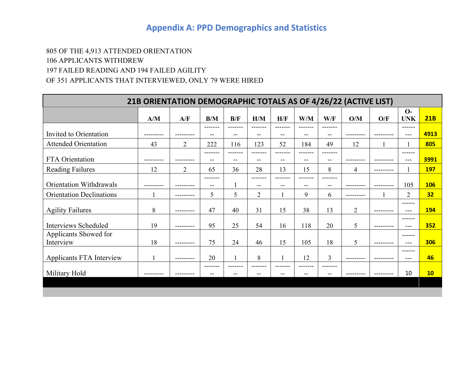### **Appendix A: PPD Demographics and Statistics**

### 805 OF THE 4,913 ATTENDED ORIENTATION 106 APPLICANTS WITHDREW 197 FAILED READING AND 194 FAILED AGILITY OF 351 APPLICANTS THAT INTERVIEWED, ONLY 79 WERE HIRED

#### **21B ORIENTATION DEMOGRAPHIC TOTALS AS OF 4/26/22 (ACTIVE LIST) A/M A/F B/M B/F H/M H/F W/M W/F O/M O/F O-UNK 21B** Invited to Orientation --------- --------- ------- -- ------- -- ------- -- ------- -- ------- -- ------- -- --------- --------- ------ --- **4913** Attended Orientation 1 43 2 22 1 16 1 23 52 1 84 49 12 1 1 **805** FTA Orientation FTA Orientation ------- -- ------- -- ------- -- ------- -- ------- -- ------- -- --------- --------- ------ --- **3991** Reading Failures 1 12 2 65 36 28 13 15 8 4 -------- 1 **197** Orientation Withdrawals ------- -- 1 ------- -- ------- -- ------- -- ------- -- | -------- | --------- | 105 <mark>| 106</mark> Orientation Declinations 1 1 -------- 5 5 5 2 1 9 6 -------- 1 2 32 Agility Failures 1 8 -------- 47 40 31 5 38 38 13 2 ------ --- **194** Interviews Scheduled 19 -------- 95 25 54 16 118 20 5 ------ --- **352** Applicants Showed for Interview 18 -------- 75 24 46 15 105 18 5 -------------- --- **306** Applicants FTA Interview 1 -------- 20 1 8 1 1 2 3 ------ --- **46** Military Hold ------- -- ------- -- ------- -- ------- -- ------- -- ------- -- --------- --------- 10 **10**